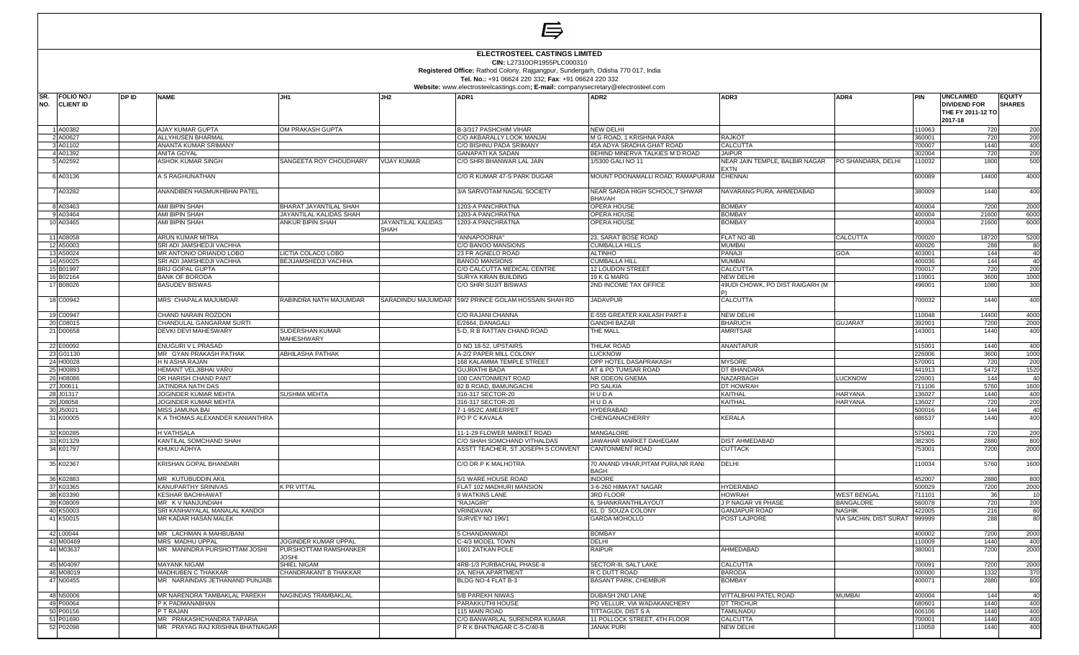|                                                                                                                                                                                                              |       |                                                              |                                                    |                           | l⇒                                                                               |                                                      |                                                 |                                        |                  |                                                                         |                                |
|--------------------------------------------------------------------------------------------------------------------------------------------------------------------------------------------------------------|-------|--------------------------------------------------------------|----------------------------------------------------|---------------------------|----------------------------------------------------------------------------------|------------------------------------------------------|-------------------------------------------------|----------------------------------------|------------------|-------------------------------------------------------------------------|--------------------------------|
| <b>ELECTROSTEEL CASTINGS LIMITED</b><br>CIN: L27310OR1955PLC000310<br>Registered Office: Rathod Colony, Rajgangpur, Sundergarh, Odisha 770 017, India<br>Tel. No.: +91 06624 220 332; Fax: +91 06624 220 332 |       |                                                              |                                                    |                           |                                                                                  |                                                      |                                                 |                                        |                  |                                                                         |                                |
|                                                                                                                                                                                                              |       |                                                              |                                                    |                           | Website: www.electrosteelcastings.com; E-mail: companysecretary@electrosteel.com |                                                      |                                                 |                                        |                  |                                                                         |                                |
| ISR.<br>FOLIO NO./<br>NO.<br><b>CLIENT ID</b>                                                                                                                                                                | DP ID | <b>NAME</b>                                                  | JH1                                                | JH <sub>2</sub>           | ADR1                                                                             | <b>ADR2</b>                                          | ADR3                                            | ADR4                                   | PIN              | <b>UNCLAIMED</b><br><b>DIVIDEND FOR</b><br>THE FY 2011-12 TO<br>2017-18 | <b>EQUITY</b><br><b>SHARES</b> |
| A00382                                                                                                                                                                                                       |       | <b>AJAY KUMAR GUPTA</b>                                      | OM PRAKASH GUPTA                                   |                           | B-3/317 PASHCHIM VIHAR                                                           | <b>NEW DELHI</b>                                     |                                                 |                                        | 110063           | 720                                                                     | 200                            |
| 2 A00627                                                                                                                                                                                                     |       | <b>ALLYHUSEN BHARMAL</b>                                     |                                                    |                           | C/O AKBARALLY LOOK MANJAI                                                        | M G ROAD, 1 KRISHNA PARA                             | <b>RAJKOT</b>                                   |                                        | 360001           | 720                                                                     | 200                            |
| 3 A01102                                                                                                                                                                                                     |       | ANANTA KUMAR SRIMANY                                         |                                                    |                           | C/O BISHNU PADA SRIMANY                                                          | 45A ADYA SRADHA GHAT ROAD                            | <b>CALCUTTA</b>                                 |                                        | 700007           | 1440                                                                    | 400                            |
| 4 A01392<br>5 A02592                                                                                                                                                                                         |       | ANITA GOYAL<br>ASHOK KUMAR SINGH                             | SANGEETA ROY CHOUDHARY                             | <b>VIJAY KUMAR</b>        | <b>GANAPATI KA SADAN</b><br>C/O SHRI BHANWAR LAL JAIN                            | BEHIND MINERVA TALKIES M D ROAD<br>1/5300 GALI NO 11 | <b>JAIPUR</b><br>NEAR JAIN TEMPLE, BALBIR NAGAR | PO SHANDARA, DELHI                     | 302004<br>110032 | 720<br>1800                                                             | 200<br>500                     |
| 6 A03136                                                                                                                                                                                                     |       | A S RAGHUNATHAN                                              |                                                    |                           | C/O R KUMAR 47-S PARK DUGAR                                                      | MOUNT POONAMALLI ROAD, RAMAPURAM CHENNAI             | <b>EXTN</b>                                     |                                        | 600089           | 14400                                                                   | 4000                           |
| A03282                                                                                                                                                                                                       |       | ANANDIBEN HASMUKHBHAI PATEL                                  |                                                    |                           | 3/A SARVOTAM NAGAL SOCIETY                                                       | NEAR SARDA HIGH SCHOOL, 7 SHWAR                      | NAVARANG PURA, AHMEDABAD                        |                                        | 380009           | 1440                                                                    | 400                            |
|                                                                                                                                                                                                              |       |                                                              |                                                    |                           |                                                                                  | BHAVAH                                               |                                                 |                                        |                  |                                                                         |                                |
| 8 A03463                                                                                                                                                                                                     |       | AMI BIPIN SHAH                                               | BHARAT JAYANTILAL SHAH                             |                           | 1203-A PANCHRATNA                                                                | OPERA HOUSE                                          | <b>BOMBAY</b>                                   |                                        | 400004           | 7200                                                                    | 2000                           |
| 9 A03464<br>10 A03465                                                                                                                                                                                        |       | AMI BIPIN SHAH                                               | JAYANTILAL KALIDAS SHAH<br><b>ANKUR BIPIN SHAH</b> | <b>JAYANTILAL KALIDAS</b> | 1203-A PANCHRATNA                                                                | OPERA HOUSE                                          | <b>BOMBAY</b><br><b>BOMBAY</b>                  |                                        | 400004           | 21600<br>21600                                                          | 6000                           |
|                                                                                                                                                                                                              |       | AMI BIPIN SHAH                                               |                                                    | <b>SHAH</b>               | 1203-A PANCHRATNA                                                                | OPERA HOUSE                                          |                                                 |                                        | 400004           |                                                                         | 6000                           |
| 11 A08058<br>12 A50003                                                                                                                                                                                       |       | ARUN KUMAR MITRA<br>SRI ADI JAMSHEDJI VACHHA                 |                                                    |                           | "ANNAPOORNA"<br>C/O BANOO MANSIONS                                               | 23, SARAT BOSE ROAD<br>CUMBALLA HILLS                | FLAT NO 4B<br><b>MUMBAI</b>                     | CALCUTTA                               | 700020<br>400026 | 18720<br>288                                                            | 5200                           |
| 13 A50024                                                                                                                                                                                                    |       | MR ANTONIO ORIANDO LOBO                                      | LICTIA COLACO LOBO                                 |                           | 23 FR AGNELO ROAD                                                                | ALTINHO                                              | PANAJI                                          | GOA                                    | 403001           | 144                                                                     | 80<br>40                       |
| 14 A50025                                                                                                                                                                                                    |       | SRI ADI JAMSHEDJI VACHHA                                     | BEJIJAMSHEDJI VACHHA                               |                           | <b>BANOO MANSIONS</b>                                                            | CUMBALLA HILL                                        | <b>MUMBAI</b>                                   |                                        | 400036           | 144                                                                     | 40                             |
| 15 B01997                                                                                                                                                                                                    |       | <b>BRIJ GOPAL GUPTA</b>                                      |                                                    |                           | C/O CALCUTTA MEDICAL CENTRE                                                      | 12 LOUDON STREET                                     | <b>CALCUTTA</b>                                 |                                        | 700017           | 720                                                                     | 200                            |
| 16 B02164                                                                                                                                                                                                    |       | <b>BANK OF BORODA</b>                                        |                                                    |                           | <b>SURYA KIRAN BUILDING</b>                                                      | 19 K G MARG                                          | <b>NEW DELHI</b>                                |                                        | 110001           | 3600                                                                    | 1000                           |
| 17 B08026                                                                                                                                                                                                    |       | <b>BASUDEV BISWAS</b>                                        |                                                    |                           | C/O SHRI SUJIT BISWAS                                                            | 2ND INCOME TAX OFFICE                                | 49UDI CHOWK, PO DIST RAIGARH (M                 |                                        | 496001           | 1080                                                                    | 30 <sup>c</sup>                |
| 18 C00942                                                                                                                                                                                                    |       | MRS CHAPALA MAJUMDAR                                         | RABINDRA NATH MAJUMDAR                             |                           | SARADINDU MAJUMDAR 59/2 PRINCE GOLAM HOSSAIN SHAH RD                             | <b>JADAVPUR</b>                                      | <b>CALCUTTA</b>                                 |                                        | 700032           | 1440                                                                    | 400                            |
| 19 C00947                                                                                                                                                                                                    |       | CHAND NARAIN ROZDON                                          |                                                    |                           | C/O RAJANI CHANNA                                                                | E-555 GREATER KAILASH PART-II                        | <b>NEW DELHI</b>                                |                                        | 110048           | 14400                                                                   | 4000                           |
| 20 C08015                                                                                                                                                                                                    |       | CHANDULAL GANGARAM SURTI                                     |                                                    |                           | E/2664, DANAGALI                                                                 | <b>GANDHI BAZAR</b>                                  | <b>BHARUCH</b>                                  | <b>GUJARAT</b>                         | 392001           | 7200                                                                    | 2000                           |
| 21 D00658                                                                                                                                                                                                    |       | DEVKI DEVI MAHESWARY                                         | <b>SUDERSHAN KUMAR</b><br>MAHESHWARY               |                           | 5-D, R B RATTAN CHAND ROAD                                                       | THE MALL                                             | AMRITSAR                                        |                                        | 143001           | 1440                                                                    | 400                            |
| 22 E00092<br>23 G01130                                                                                                                                                                                       |       | <b>ENUGURI V L PRASAD</b>                                    |                                                    |                           | D NO 18-52, UPSTAIRS                                                             | THILAK ROAD                                          | <b>ANANTAPUR</b>                                |                                        | 515001           | 1440                                                                    | 400                            |
| 24 H00028                                                                                                                                                                                                    |       | MR GYAN PRAKASH PATHAK<br>H N ASHA RAJAN                     | <b>ABHILASHA PATHAK</b>                            |                           | A-2/2 PAPER MILL COLONY<br>168 KALAMMA TEMPLE STREET                             | <b>LUCKNOW</b><br>OPP HOTEL DASAPRAKASH              | <b>MYSORE</b>                                   |                                        | 226006<br>570001 | 3600<br>720                                                             | 1000<br>200                    |
| 25 H00893                                                                                                                                                                                                    |       | HEMANT VELJIBHAI VARU                                        |                                                    |                           | <b>GUJRATHI BADA</b>                                                             | AT & PO TUMSAR ROAD                                  | DT BHANDARA                                     |                                        | 441913           | 5472                                                                    | 1520                           |
| 26 H08086                                                                                                                                                                                                    |       | DR HARISH CHAND PANT                                         |                                                    |                           | 100 CANTONMENT ROAD                                                              | NR ODEON GNEMA                                       | NAZARBAGH                                       | <b>LUCKNOW</b>                         | 226001           | 144                                                                     | -40                            |
| 27 J00611                                                                                                                                                                                                    |       | JATINDRA NATH DAS                                            |                                                    |                           | 82 B ROAD, BAMUNGACHI                                                            | PO SALKIA                                            | DT HOWRAH                                       |                                        | 711106           | 5760                                                                    | 1600                           |
| 28 J01317                                                                                                                                                                                                    |       | JOGINDER KUMAR MEHTA                                         | <b>SUSHMA MEHTA</b>                                |                           | 316-317 SECTOR-20                                                                | HUDA                                                 | KAITHAL                                         | <b>HARYANA</b>                         | 136027           | 1440                                                                    | 400                            |
| 29 J08058<br>30 J50021                                                                                                                                                                                       |       | JOGINDER KUMAR MEHTA<br>MISS JAMUNA BAI                      |                                                    |                           | 316-317 SECTOR-20<br>7-1-95/2C AMEERPET                                          | HUDA<br><b>HYDERABAD</b>                             | <b>KAITHAL</b>                                  | <b>HARYANA</b>                         | 136027<br>500016 | 720<br>144                                                              | 200<br>40                      |
| 31 K00005                                                                                                                                                                                                    |       | K A THOMAS ALEXANDER KANIANTHRA                              |                                                    |                           | PO P C KAVALA                                                                    | CHENGANACHERRY                                       | <b>KERALA</b>                                   |                                        | 686537           | 1440                                                                    | 400                            |
| 32 K00285                                                                                                                                                                                                    |       | <b>H VATHSALA</b>                                            |                                                    |                           | 11-1-29 FLOWER MARKET ROAD                                                       | <b>MANGALORE</b>                                     |                                                 |                                        | 575001           | 720                                                                     | 200                            |
| 33 K01329                                                                                                                                                                                                    |       | KANTILAL SOMCHAND SHAH                                       |                                                    |                           | C/O SHAH SOMCHAND VITHALDAS                                                      | JAWAHAR MARKET DAHEGAM                               | <b>DIST AHMEDABAD</b>                           |                                        | 382305           | 2880                                                                    | 800                            |
| 34 K01797                                                                                                                                                                                                    |       | KHUKU ADHYA                                                  |                                                    |                           | ASSTT TEACHER, ST JOSEPH S CONVENT                                               | CANTONMENT ROAD                                      | <b>CUTTACK</b>                                  |                                        | 753001           | 7200                                                                    | 2000                           |
| 35 K02367                                                                                                                                                                                                    |       | KRISHAN GOPAL BHANDARI                                       |                                                    |                           | C/O DR P K MALHOTRA                                                              | 70 ANAND VIHAR, PITAM PURA, NR RANI<br>BAGH          | DELHI                                           |                                        | 110034           | 5760                                                                    | 1600                           |
| 36 K02883                                                                                                                                                                                                    |       | MR KUTUBUDDIN AKIL                                           |                                                    |                           | 5/1 WARE HOUSE ROAD                                                              | <b>INDORE</b>                                        |                                                 |                                        | 452007           | 2880                                                                    | 800                            |
| 37 K03365                                                                                                                                                                                                    |       | KANUPARTHY SRINIVAS                                          | K PR VITTAL                                        |                           | FLAT 102 MADHURI MANSION                                                         | 3-6-260 HIMAYAT NAGAR                                | <b>HYDERABAD</b>                                |                                        | 500029           | 7200                                                                    | 2000                           |
| 38 K03390<br>39 K08009                                                                                                                                                                                       |       | <b>KESHAR BACHHAWAT</b><br>MR K V NANJUNDIAH                 |                                                    |                           | 9 WATKINS LANE<br>"RAJAGIRI"                                                     | 3RD FLOOR<br>6. SHANKRANTHILAYOUT                    | <b>HOWRAH</b><br>J P NAGAR VII PHASE            | <b>WEST BENGAL</b><br><b>BANGALORE</b> | 711101<br>560078 | 36<br>720                                                               | 10<br>200                      |
| 40 K50003                                                                                                                                                                                                    |       | SRI KANHAIYALAL MANALAL KANDOI                               |                                                    |                           | VRINDAVAN                                                                        | 61, D SOUZA COLONY                                   | <b>GANJAPUR ROAD</b>                            | <b>NASHIK</b>                          | 422005           | 216                                                                     | 60                             |
| 41 K50015                                                                                                                                                                                                    |       | MR KADAR HASAN MALEK                                         |                                                    |                           | SURVEY NO 196/1                                                                  | GARDA MOHOLLO                                        | POST LAJPORE                                    | VIA SACHIN, DIST SURAT                 | 999999           | 288                                                                     | 80                             |
| 42 L00044                                                                                                                                                                                                    |       | MR LACHMAN A MAHBUBANI                                       |                                                    |                           | 5 CHANDANWADI                                                                    | <b>BOMBAY</b>                                        |                                                 |                                        | 400002           | 7200                                                                    | 2000                           |
| 43 M00469                                                                                                                                                                                                    |       | MRS MADHU UPPAL                                              | JOGINDER KUMAR UPPAL                               |                           | C-4/3 MODEL TOWN                                                                 | DELHI                                                |                                                 |                                        | 110009           | 1440                                                                    | 400                            |
| 44 M03637                                                                                                                                                                                                    |       | MR MANINDRA PURSHOTTAM JOSHI                                 | PURSHOTTAM RAMSHANKER<br>JOSHI                     |                           | 1601 ZATKAN POLE                                                                 | RAIPUR                                               | AHMEDABAD                                       |                                        | 380001           | 7200                                                                    | 2000                           |
| 45 M04097<br>46 M08019                                                                                                                                                                                       |       | <b>MAYANK NIGAM</b><br><b>MADHUBEN C THAKKAR</b>             | SHIEL NIGAM<br>CHANDRAKANT B THAKKAR               |                           | 4RB-1/3 PURBACHAL PHASE-II<br>2A. NEHA APARTMENT                                 | SECTOR-III, SALT LAKE<br>R C DUTT ROAD               | <b>CALCUTTA</b><br><b>BARODA</b>                |                                        | 700091<br>000000 | 7200<br>1332                                                            | 2000<br>370                    |
| 47 N00455                                                                                                                                                                                                    |       | MR NARAINDAS JETHANAND PUNJABI                               |                                                    |                           | BLDG NO-4 FLAT B-3                                                               | BASANT PARK, CHEMBUR                                 | <b>BOMBAY</b>                                   |                                        | 400071           | 2880                                                                    | 800                            |
| 48 N50006                                                                                                                                                                                                    |       | MR NARENDRA TAMBAKLAL PAREKH                                 | NAGINDAS TRAMBAKLAL                                |                           | 5/B PAREKH NIWAS                                                                 | DUBASH 2ND LANE                                      | <b>VITTALBHAI PATEL ROAD</b>                    | <b>MUMBAI</b>                          | 400004           | 144                                                                     | 40                             |
| 49 P00064                                                                                                                                                                                                    |       | P K PADMANABHAN                                              |                                                    |                           | PARAKKUTHI HOUSE                                                                 | PO VELLUR, VIA WADAKANCHERY                          | <b>DT TRICHUR</b>                               |                                        | 680601           | 1440                                                                    | 400                            |
| 50 P00156                                                                                                                                                                                                    |       | P T RAJAN                                                    |                                                    |                           | 115 MAIN ROAD                                                                    | TITTAGUDI. DIST S A                                  | <b>TAMILNADU</b>                                |                                        | 606106           | 1440                                                                    | 400                            |
| 51 P01690<br>52 P02098                                                                                                                                                                                       |       | MR PRAKASHCHANDRA TAPARIA<br>MR PRAYAG RAJ KRISHNA BHATNAGAR |                                                    |                           | C/O BANWARLAL SURENDRA KUMAR<br>P R K BHATNAGAR C-5-C/40-B                       | 11 POLLOCK STREET, 4TH FLOOR<br><b>JANAK PURI</b>    | <b>CALCUTTA</b><br>NEW DELHI                    |                                        | 700001<br>110058 | 1440<br>1440                                                            | 400                            |
|                                                                                                                                                                                                              |       |                                                              |                                                    |                           |                                                                                  |                                                      |                                                 |                                        |                  |                                                                         | 400                            |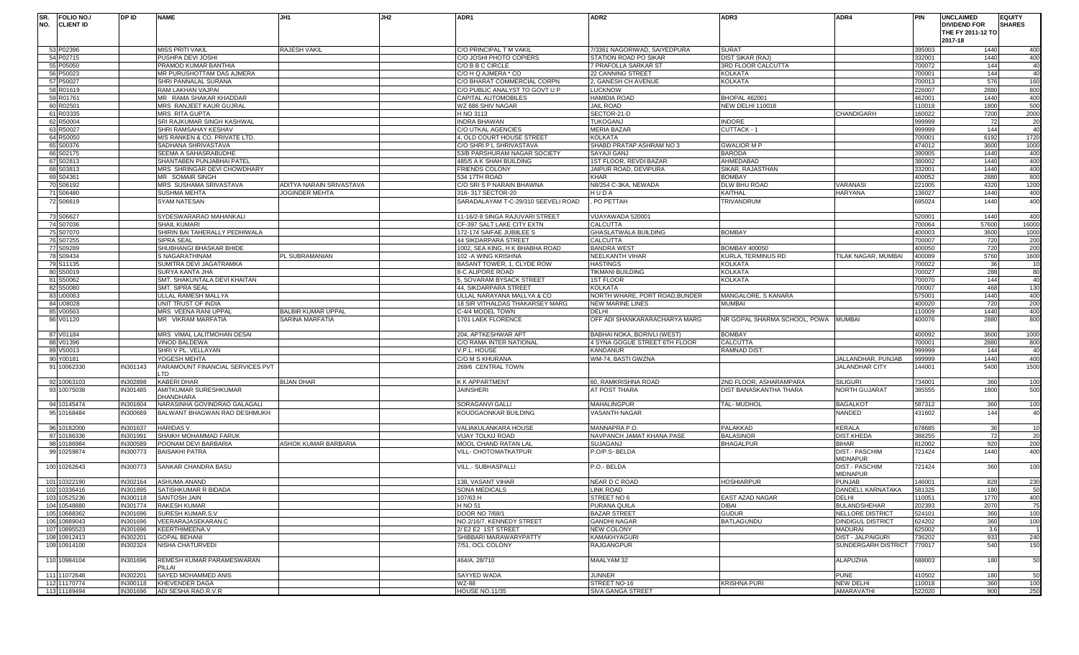| ISR.<br>NO. | FOLIO NO./<br><b>CLIENT ID</b> | DP ID    | <b>NAME</b>                                       | JH1                                        | JH2 | ADR1                                           | ADR <sub>2</sub>                              | ADR3                                   | ADR4                                     | <b>PIN</b>       | <b>UNCLAIMED</b><br><b>DIVIDEND FOR</b><br>THE FY 2011-12 TO | <b>EQUITY</b><br><b>SHARES</b> |
|-------------|--------------------------------|----------|---------------------------------------------------|--------------------------------------------|-----|------------------------------------------------|-----------------------------------------------|----------------------------------------|------------------------------------------|------------------|--------------------------------------------------------------|--------------------------------|
|             |                                |          |                                                   |                                            |     |                                                |                                               |                                        |                                          |                  | 2017-18                                                      |                                |
|             | 53 P02396                      |          | <b>MISS PRITI VAKIL</b>                           | RAJESH VAKIL                               |     | C/O PRINCIPAL T M VAKIL                        | 7/3361 NAGORIWAD, SAIYEDPURA                  | <b>SURAT</b>                           |                                          | 395003           | 1440                                                         | 400                            |
|             | 54 P02715<br>55 P05050         |          | PUSHPA DEVI JOSHI                                 |                                            |     | C/O JOSHI PHOTO COPIERS                        | STATION ROAD PO SIKAR<br>7 PRAFOLLA SARKAR ST | DIST SIKAR (RAJ)<br>3RD FLOOR CALCUTTA |                                          | 332001           | 1440<br>144                                                  | 400                            |
|             | 56 P50023                      |          | PRAMOD KUMAR BANTHIA<br>MR PURUSHOTTAM DAS AJMERA |                                            |     | C/O B B C CIRCLE<br>C/O H Q AJMERA * CO        | 22 CANNING STREET                             | <b>KOLKATA</b>                         |                                          | 700072<br>700001 | 144                                                          | 40<br>40                       |
|             | 57 P50027                      |          | SHRI PANNALAL SURANA                              |                                            |     | C/O BHARAT COMMERCIAL CORPN                    | 2, GANESH CH AVENUE                           | <b>KOLKATA</b>                         |                                          | 700013           | 576                                                          | 160                            |
|             | 58 R01619                      |          | RAM LAKHAN VAJPAI                                 |                                            |     | C/O PUBLIC ANALYST TO GOVT U P                 | <b>LUCKNOW</b>                                |                                        |                                          | 226007           | 2880                                                         | 800                            |
|             | 59 R01761                      |          | MR RAMA SHAKAR KHADDAR                            |                                            |     | <b>CAPITAL AUTOMOBILES</b>                     | HAMIDIA ROAD                                  | <b>BHOPAL 462001</b>                   |                                          | 462001           | 1440                                                         | 400                            |
|             | 60 R02501                      |          | MRS RANJEET KAUR GUJRAL                           |                                            |     | WZ 686 SHIV NAGAR                              | JAIL ROAD                                     | NEW DELHI 110018                       |                                          | 110018           | 1800                                                         | 500                            |
|             | 61 R03335                      |          | <b>MRS RITA GUPTA</b>                             |                                            |     | H NO 3113                                      | SECTOR-21-D                                   |                                        | CHANDIGARH                               | 160022           | 7200                                                         | 2000                           |
|             | 62 R50004                      |          | SRI RAJKUMAR SINGH KASHWAL                        |                                            |     | <b>INDRA BHAWAN</b>                            | TUKOGANJ                                      | <b>INDORE</b>                          |                                          | 999999           | 72                                                           | 20                             |
|             | 63 R50027                      |          | SHRI RAMSAHAY KESHAV                              |                                            |     | <b>C/O UTKAL AGENCIES</b>                      | <b>MERIA BAZAR</b>                            | CUTTACK - 1                            |                                          | 999999           | 144                                                          | 40                             |
|             | 64 R50050                      |          | M/S RANKEN & CO. PRIVATE LTD.                     |                                            |     | 4, OLD COURT HOUSE STREET                      | <b>KOLKATA</b>                                |                                        |                                          | 700001           | 6192                                                         | 1720                           |
|             | 65 S00376                      |          | SADHANA SHRIVASTAVA                               |                                            |     | C/O SHRI P L SHRIVASTAVA                       | SHABD PRATAP ASHRAM NO 3                      | <b>GWALIOR M P</b>                     |                                          | 474012           | 3600                                                         | 1000                           |
|             | 66 S02175                      |          | SEEMA A SAHASRABUDHE                              |                                            |     | 53/B PARSHURAM NAGAR SOCIETY                   | SAYAJI GANJ                                   | <b>BARODA</b>                          |                                          | 390005           | 1440                                                         | 400                            |
|             | 67 S02813                      |          | SHANTABEN PUNJABHAI PATEL                         |                                            |     | 485/5 A K SHAH BUILDING                        | 1ST FLOOR, REVDI BAZAR                        | AHMEDABAD                              |                                          | 380002           | 1440                                                         | 400                            |
|             | 68 S03813                      |          | MRS SHRINGAR DEVI CHOWDHARY                       |                                            |     | <b>FRIENDS COLONY</b>                          | JAIPUR ROAD, DEVIPURA                         | SIKAR, RAJASTHAN                       |                                          | 332001           | 1440                                                         | 400                            |
|             | 69 S04361<br>70 S06192         |          | MR SOMAIR SINGH                                   |                                            |     | 534 17TH ROAD                                  | <b>KHAR</b>                                   | <b>BOMBAY</b>                          | <b>VARANASI</b>                          | 400052           | 2880<br>4320                                                 | 800                            |
|             | 71 S06480                      |          | MRS SUSHAMA SRIVASTAVA<br><b>SUSHMA MEHTA</b>     | ADITYA NARAIN SRIVASTAVA<br>JOGINDER MEHTA |     | C/O SRI S P NARAIN BHAWNA<br>316-317 SECTOR-20 | N8/254 C-3KA, NEWADA<br>HUDA                  | DLW BHU ROAD<br>KAITHAL                | <b>HARYANA</b>                           | 221005<br>136027 | 1440                                                         | 1200<br>400                    |
|             | 72 S06619                      |          | SYAM NATESAN                                      |                                            |     | SARADALAYAM T-C-29/310 SEEVELI ROAD            | PO PETTAH                                     | TRIVANDRUM                             |                                          | 695024           | 1440                                                         | 400                            |
|             |                                |          |                                                   |                                            |     |                                                |                                               |                                        |                                          |                  |                                                              |                                |
|             | 73 S06627                      |          | SYDESWARARAO MAHANKALI                            |                                            |     | 11-16/2-8 SINGA RAJUVARI STREET                | VIJAYAWADA 520001                             |                                        |                                          | 520001           | 1440                                                         | 400                            |
|             | 74 S07036                      |          | <b>SHAIL KUMARI</b>                               |                                            |     | CF-397 SALT LAKE CITY EXTN                     | <b>CALCUTTA</b>                               |                                        |                                          | 700064           | 57600                                                        | 16000                          |
|             | 75 S07070                      |          | SHIRIN BAI TAHERALLY PEDHIWALA                    |                                            |     | 172-174 SAIFAE JUBIILEE S                      | GHASLATWALA BUILDING                          | <b>BOMBAY</b>                          |                                          | 400003           | 3600                                                         | 1000                           |
|             | 76 S07255                      |          | SIPRA SEAL                                        |                                            |     | <b>44 SIKDARPARA STREET</b>                    | CALCUTTA                                      |                                        |                                          | 700007           | 720                                                          | 200                            |
|             | 77 S09289                      |          | SHUBHANGI BHASKAR BHIDE                           |                                            |     | 1002, SEA KING, H K BHABHA ROAD                | <b>BANDRA WEST</b>                            | <b>BOMBAY 400050</b>                   |                                          | 400050           | 720                                                          | 200                            |
|             | 78 S09434                      |          | S NAGARATHINAM                                    | PL SUBRAMANIAN                             |     | 102 - A WING KRISHNA                           | NEELKANTH VIHAR                               | <b>KURLA, TERMINUS RD</b>              | TILAK NAGAR, MUMBAI                      | 400089           | 5760                                                         | 1600                           |
|             | 79 S11135                      |          | SUMITRA DEVI JAGATRAMKA                           |                                            |     | BASANT TOWER, 1, CLYDE ROW                     | HASTINGS                                      | <b>KOLKATA</b>                         |                                          | 700022           | 36                                                           | 10                             |
|             | 80 S50019                      |          | SURYA KANTA JHA                                   |                                            |     | 8-C ALIPORE ROAD                               | TIKMANI BUILDING                              | <b>KOLKATA</b>                         |                                          | 700027           | 288                                                          | 80                             |
|             | 81 S50062                      |          | SMT. SHAKUNTALA DEVI KHAITAN                      |                                            |     | 5, SOVARAM BYSACK STREET                       | 1ST FLOOR                                     | <b>KOLKATA</b>                         |                                          | 700070           | 144                                                          | 40                             |
|             | 82 S50080                      |          | SMT. SIPRA SEAL                                   |                                            |     | 44. SIKDARPARA STREET                          | KOLKATA                                       |                                        |                                          | 700007           | 468                                                          | 130                            |
|             | 83 U00063                      |          | ULLAL RAMESH MALLYA                               |                                            |     | ULLAL NARAYANA MALLYA & CO                     | NORTH WHARE, PORT ROAD, BUNDER                | MANGALORE, S KANARA                    |                                          | 575001           | 1440                                                         | 400                            |
|             | 84 U08028                      |          | UNIT TRUST OF INDIA                               |                                            |     | 18 SIR VITHALDAS THAKARSEY MARG                | <b>NEW MARINE LINES</b>                       | <b>MUMBAI</b>                          |                                          | 400020           | 720                                                          | 200                            |
|             | 85 V00563                      |          | MRS VEENA RANI UPPAL                              | <b>BALBIR KUMAR UPPAL</b>                  |     | C-4/4 MODEL TOWN                               | DELHI                                         |                                        |                                          | 110009           | 1440                                                         | 400                            |
|             | 86 V01120                      |          | MR VIKRAM MARFATIA                                | SARINA MARFATIA                            |     | 1701 LAEK FLORENCE                             | OFF ADI SHANKARARACHARYA MARG                 | NR GOPAL SHARMA SCHOOL, POWA MUMBAI    |                                          | 400076           | 2880                                                         | 800                            |
|             | 87 V01184                      |          | MRS VIMAL LALITMOHAN DESAI                        |                                            |     | 204, APTKESHWAR APT                            | BABHAI NOKA, BORIVLI (WEST)                   | <b>BOMBAY</b>                          |                                          | 400092           | 3600                                                         | 1000                           |
|             | 88 V01396                      |          | <b>VINOD BALDEWA</b>                              |                                            |     | C/O RAMA INTER NATIONAL                        | 4 SYNA GOGUE STREET 6TH FLOOR                 | CALCUTTA                               |                                          | 700001           | 2880                                                         | 800                            |
|             | 89 V50013                      |          | SHRIV PL. VELLAYAN                                |                                            |     | V.P.L. HOUSE                                   | KANDANUR                                      | <b>RAMNAD DIST</b>                     |                                          | 999999           | 144                                                          | 40                             |
|             | 90 Y00181                      |          | YOGESH MEHTA                                      |                                            |     | C/O M S KHURANA                                | WM-74, BASTI GWZNA                            |                                        | JALLANDHAR, PUNJAB                       | 999999           | 1440                                                         | 400                            |
|             | 91 10062330                    | IN301143 | PARAMOUNT FINANCIAL SERVICES PVT<br>TD.           |                                            |     | 269/6 CENTRAL TOWN                             |                                               |                                        | <b>JALANDHAR CITY</b>                    | 144001           | 5400                                                         | 1500                           |
|             | 92 10063103                    | IN302898 | <b>KABERI DHAR</b>                                | <b>BIJAN DHAR</b>                          |     | K K APPARTMENT                                 | 60. RAMKRISHNA ROAD                           | 2ND FLOOR, ASHARAMPARA                 | <b>SILIGURI</b>                          | 734001           | 360                                                          | 100                            |
|             | 93 10075038                    | IN301485 | AMITKUMAR SURESHKUMAR<br><b>DHANDHARA</b>         |                                            |     | <b>JAINSHERI</b>                               | AT POST THARA                                 | DIST BANASKANTHA THARA                 | <b>NORTH GUJARAT</b>                     | 385555           | 1800                                                         | 500                            |
|             | 94 10145474                    | IN301604 | NARASINHA GOVINDRAO GALAGALI                      |                                            |     | SORAGANVI GALLI                                | <b>MAHALINGPUR</b>                            | <b>TAL-MUDHOL</b>                      | <b>BAGALKOT</b>                          | 587312           | 360                                                          | 100                            |
|             | 95 10168484                    | IN300669 | BALWANT BHAGWAN RAO DESHMUKH                      |                                            |     | KOUDGAONKAR BUILDING                           | VASANTH NAGAR                                 |                                        | NANDED                                   | 131602           | 144                                                          | 40                             |
|             | 96 10182000                    | IN301637 | <b>HARIDAS V.</b>                                 |                                            |     | <b>VALIAKULANKARA HOUSE</b>                    | MANNAPRA P.O.                                 | PALAKKAD                               | <b>KERALA</b>                            | 678685           | 36                                                           | 10                             |
|             | 97 10186336                    | IN301991 | SHAIKH MOHAMMAD FARUK                             |                                            |     | VIJAY TOLKIJ ROAD                              | NAVPANCH JAMAT KHANA PASE                     | <b>BALASINOR</b>                       | <b>DIST.KHEDA</b>                        | 388255           | 72                                                           | 20                             |
|             | 98 10186984                    | IN300589 | POONAM DEVI BARBARIA                              | ASHOK KUMAR BARBARIA                       |     | MOOL CHAND RATAN LAL                           | <b>SUJAGANJ</b>                               | <b>BHAGALPUR</b>                       | <b>BIHAR</b>                             | 312002           | 920                                                          | 200                            |
|             | 99 10259874                    | IN300773 | <b>BAISAKHI PATRA</b>                             |                                            |     | VILL- CHOTOMATKATPUR                           | P.O/P.S- BELDA                                |                                        | <b>DIST.- PASCHIM</b><br><b>MIDNAPUR</b> | 721424           | 1440                                                         | 400                            |
|             | 100 10262643                   | IN300773 | SANKAR CHANDRA BASU                               |                                            |     | VILL.- SUBHASPALLI                             | -.O.- BELDA                                   |                                        | DIST.- PASCHIM<br><b>MIDNAPUR</b>        | 721424           | 360                                                          | 100                            |
|             | 101 10322190                   | IN302164 | <b>ASHUMA ANAND</b>                               |                                            |     | 138, VASANT VIHAR                              | NEAR D C ROAD                                 | <b>HOSHIARPUR</b>                      | <b>PUNJAB</b>                            | 146001           | 828                                                          | 230                            |
|             | 102 10336416                   | IN301895 | SATISHKUMAR R BIDADA                              |                                            |     | SONA MEDICALS                                  | LINK ROAD                                     |                                        | DANDELI, KARNATAKA                       | 581325           | 180                                                          | 50                             |
|             | 103 10525236                   | IN300118 | <b>SANTOSH JAIN</b>                               |                                            |     | 107/63 H                                       | STREET NO 6                                   | <b>EAST AZAD NAGAR</b>                 | DELHI                                    | 110051           | 1770                                                         | 400                            |
|             | 104 10548880                   | IN301774 | <b>RAKESH KUMAR</b>                               |                                            |     | H NO 51                                        | PURANA QUILA                                  | <b>DIBAI</b>                           | <b>BULANDSHEHAR</b>                      | 202393           | 2070                                                         | 75                             |
|             | 105 10688362                   | IN301696 | SURESH KUMAR.S.V                                  |                                            |     | DOOR NO 7/68/1                                 | <b>BAZAR STREET</b>                           | <b>GUDUR</b>                           | <b>NELLORE DISTRICT</b>                  | 524101           | 360                                                          | 100                            |
|             | 106 10889043                   | IN301696 | VEERARAJASEKARAN.C                                |                                            |     | NO.2/16/7, KENNEDY STREET                      | <b>GANDHI NAGAR</b>                           | <b>BATLAGUNDU</b>                      | <b>DINDIGUL DISTRICT</b>                 | 624202           | 360                                                          | 100                            |
|             | 107 10895523                   | IN301696 | <b>KEERTHIMEENA.V</b>                             |                                            |     | 2/E2 E2 1ST STREET                             | <b>NEW COLONY</b>                             |                                        | <b>MADURAI</b>                           | 625002           | 3.6                                                          |                                |
|             | 108 10912413                   | IN302201 | <b>GOPAL BEHANI</b>                               |                                            |     | SHIBBARI MARAWARYPATTY                         | KAMAKHYAGURI                                  |                                        | <b>DIST - JALPAIGURI</b>                 | 736202           | 933                                                          | 240                            |
|             | 109 10914100                   | IN302324 | NISHA CHATURVEDI                                  |                                            |     | 7/51, OCL COLONY                               | RAJGANGPUR                                    |                                        | SUNDERGARH DISTRICT                      | 770017           | 540                                                          | 150                            |
|             | 110 10984104                   | IN301696 | REMESH KUMAR PARAMESWARAN<br>PILLAI               |                                            |     | 464/A, 28/710                                  | MAALYAM 32                                    |                                        | ALAPUZHA                                 | 688003           | 180                                                          | 50                             |
|             | 111 11072648                   | IN302201 | SAYED MOHAMMED ANIS                               |                                            |     | SAYYED WADA                                    | <b>JUNNER</b>                                 |                                        | <b>PUNE</b>                              | 410502           | 180                                                          | 50                             |
|             | 112 11170774                   | IN300118 | KHEVENDER DAGA                                    |                                            |     | WZ-88                                          | STREET NO-16                                  | <b>KRISHNA PURI</b>                    | <b>NEW DELHI</b>                         | 110018           | 360                                                          | 100                            |
|             | 113 11189494                   | IN301696 | ADI SESHA RAO.R.V.R                               |                                            |     | <b>HOUSE NO.11/35</b>                          | SIVA GANGA STREET                             |                                        | AMARAVATHI                               | 522020           | 900                                                          | 250                            |